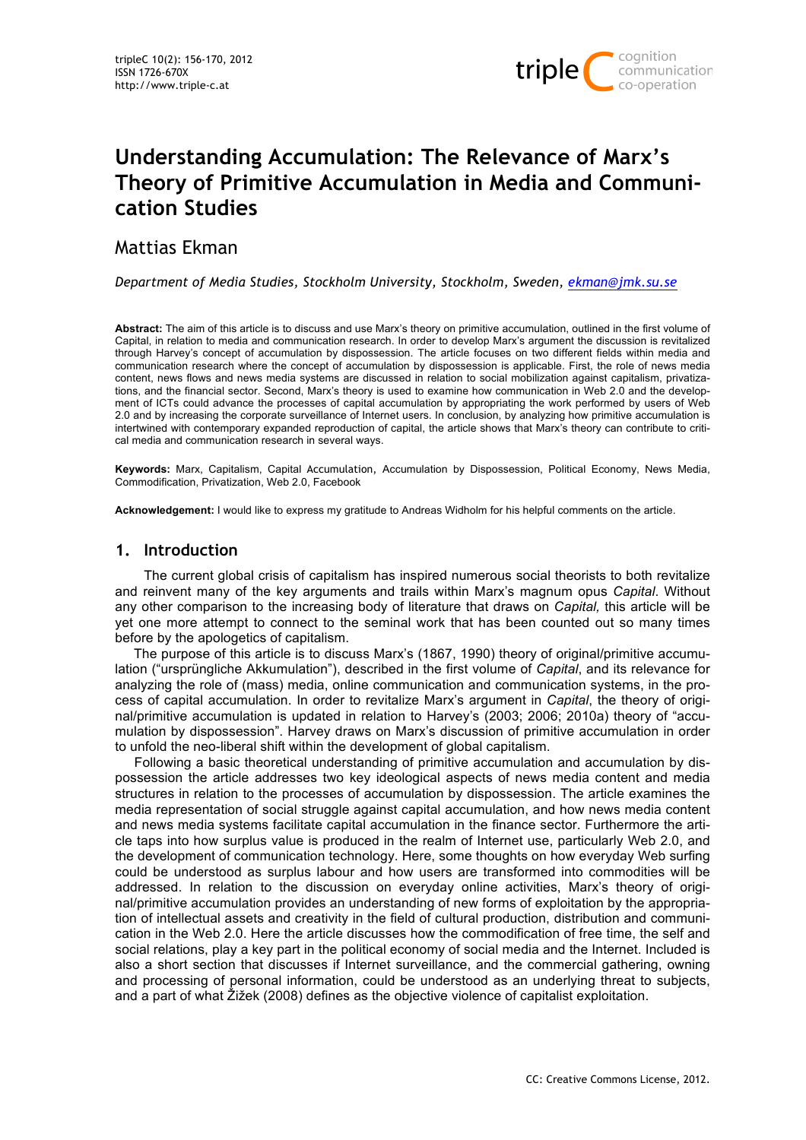

# **Understanding Accumulation: The Relevance of Marx's Theory of Primitive Accumulation in Media and Communication Studies**

# Mattias Ekman

*Department of Media Studies, Stockholm University, Stockholm, Sweden, ekman@jmk.su.se*

**Abstract:** The aim of this article is to discuss and use Marx's theory on primitive accumulation, outlined in the first volume of Capital, in relation to media and communication research. In order to develop Marx's argument the discussion is revitalized through Harvey's concept of accumulation by dispossession. The article focuses on two different fields within media and communication research where the concept of accumulation by dispossession is applicable. First, the role of news media content, news flows and news media systems are discussed in relation to social mobilization against capitalism, privatizations, and the financial sector. Second, Marx's theory is used to examine how communication in Web 2.0 and the development of ICTs could advance the processes of capital accumulation by appropriating the work performed by users of Web 2.0 and by increasing the corporate surveillance of Internet users. In conclusion, by analyzing how primitive accumulation is intertwined with contemporary expanded reproduction of capital, the article shows that Marx's theory can contribute to critical media and communication research in several ways.

**Keywords:** Marx, Capitalism, Capital Accumulation, Accumulation by Dispossession, Political Economy, News Media, Commodification, Privatization, Web 2.0, Facebook

**Acknowledgement:** I would like to express my gratitude to Andreas Widholm for his helpful comments on the article.

# **1. Introduction**

The current global crisis of capitalism has inspired numerous social theorists to both revitalize and reinvent many of the key arguments and trails within Marx's magnum opus *Capital*. Without any other comparison to the increasing body of literature that draws on *Capital,* this article will be yet one more attempt to connect to the seminal work that has been counted out so many times before by the apologetics of capitalism.

 The purpose of this article is to discuss Marx's (1867, 1990) theory of original/primitive accumulation ("ursprüngliche Akkumulation"), described in the first volume of *Capital*, and its relevance for analyzing the role of (mass) media, online communication and communication systems, in the process of capital accumulation. In order to revitalize Marx's argument in *Capital*, the theory of original/primitive accumulation is updated in relation to Harvey's (2003; 2006; 2010a) theory of "accumulation by dispossession". Harvey draws on Marx's discussion of primitive accumulation in order to unfold the neo-liberal shift within the development of global capitalism.

Following a basic theoretical understanding of primitive accumulation and accumulation by dispossession the article addresses two key ideological aspects of news media content and media structures in relation to the processes of accumulation by dispossession. The article examines the media representation of social struggle against capital accumulation, and how news media content and news media systems facilitate capital accumulation in the finance sector. Furthermore the article taps into how surplus value is produced in the realm of Internet use, particularly Web 2.0, and the development of communication technology. Here, some thoughts on how everyday Web surfing could be understood as surplus labour and how users are transformed into commodities will be addressed. In relation to the discussion on everyday online activities, Marx's theory of original/primitive accumulation provides an understanding of new forms of exploitation by the appropriation of intellectual assets and creativity in the field of cultural production, distribution and communication in the Web 2.0. Here the article discusses how the commodification of free time, the self and social relations, play a key part in the political economy of social media and the Internet. Included is also a short section that discusses if Internet surveillance, and the commercial gathering, owning and processing of personal information, could be understood as an underlying threat to subjects, and a part of what Žižek (2008) defines as the objective violence of capitalist exploitation.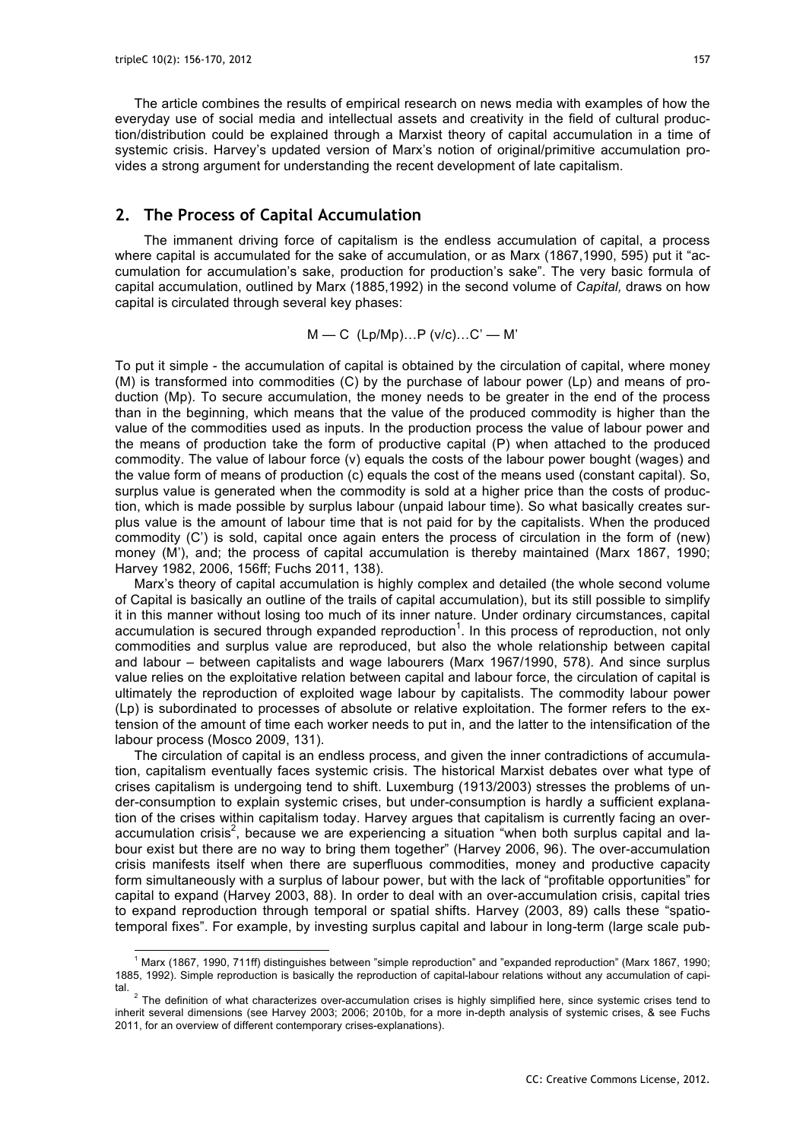The article combines the results of empirical research on news media with examples of how the everyday use of social media and intellectual assets and creativity in the field of cultural production/distribution could be explained through a Marxist theory of capital accumulation in a time of systemic crisis. Harvey's updated version of Marx's notion of original/primitive accumulation provides a strong argument for understanding the recent development of late capitalism.

# **2. The Process of Capital Accumulation**

The immanent driving force of capitalism is the endless accumulation of capital, a process where capital is accumulated for the sake of accumulation, or as Marx (1867,1990, 595) put it "accumulation for accumulation's sake, production for production's sake". The very basic formula of capital accumulation, outlined by Marx (1885,1992) in the second volume of *Capital,* draws on how capital is circulated through several key phases:

$$
M - C (Lp/Mp)...P (v/c)...C' - M'
$$

To put it simple - the accumulation of capital is obtained by the circulation of capital, where money (M) is transformed into commodities (C) by the purchase of labour power (Lp) and means of production (Mp). To secure accumulation, the money needs to be greater in the end of the process than in the beginning, which means that the value of the produced commodity is higher than the value of the commodities used as inputs. In the production process the value of labour power and the means of production take the form of productive capital (P) when attached to the produced commodity. The value of labour force (v) equals the costs of the labour power bought (wages) and the value form of means of production (c) equals the cost of the means used (constant capital). So, surplus value is generated when the commodity is sold at a higher price than the costs of production, which is made possible by surplus labour (unpaid labour time). So what basically creates surplus value is the amount of labour time that is not paid for by the capitalists. When the produced commodity (C') is sold, capital once again enters the process of circulation in the form of (new) money (M'), and; the process of capital accumulation is thereby maintained (Marx 1867, 1990; Harvey 1982, 2006, 156ff; Fuchs 2011, 138).

Marx's theory of capital accumulation is highly complex and detailed (the whole second volume of Capital is basically an outline of the trails of capital accumulation), but its still possible to simplify it in this manner without losing too much of its inner nature. Under ordinary circumstances, capital accumulation is secured through expanded reproduction<sup>1</sup>. In this process of reproduction, not only commodities and surplus value are reproduced, but also the whole relationship between capital and labour – between capitalists and wage labourers (Marx 1967/1990, 578). And since surplus value relies on the exploitative relation between capital and labour force, the circulation of capital is ultimately the reproduction of exploited wage labour by capitalists. The commodity labour power (Lp) is subordinated to processes of absolute or relative exploitation. The former refers to the extension of the amount of time each worker needs to put in, and the latter to the intensification of the labour process (Mosco 2009, 131).

The circulation of capital is an endless process, and given the inner contradictions of accumulation, capitalism eventually faces systemic crisis. The historical Marxist debates over what type of crises capitalism is undergoing tend to shift. Luxemburg (1913/2003) stresses the problems of under-consumption to explain systemic crises, but under-consumption is hardly a sufficient explanation of the crises within capitalism today. Harvey argues that capitalism is currently facing an overaccumulation crisis<sup>2</sup>, because we are experiencing a situation "when both surplus capital and labour exist but there are no way to bring them together" (Harvey 2006, 96). The over-accumulation crisis manifests itself when there are superfluous commodities, money and productive capacity form simultaneously with a surplus of labour power, but with the lack of "profitable opportunities" for capital to expand (Harvey 2003, 88). In order to deal with an over-accumulation crisis, capital tries to expand reproduction through temporal or spatial shifts. Harvey (2003, 89) calls these "spatiotemporal fixes". For example, by investing surplus capital and labour in long-term (large scale pub-

 $1$  Marx (1867, 1990, 711ff) distinguishes between "simple reproduction" and "expanded reproduction" (Marx 1867, 1990; 1885, 1992). Simple reproduction is basically the reproduction of capital-labour relations without any accumulation of capi-

tal. <sup>2</sup> The definition of what characterizes over-accumulation crises is highly simplified here, since systemic crises tend to inherit several dimensions (see Harvey 2003; 2006; 2010b, for a more in-depth analysis of systemic crises, & see Fuchs 2011, for an overview of different contemporary crises-explanations).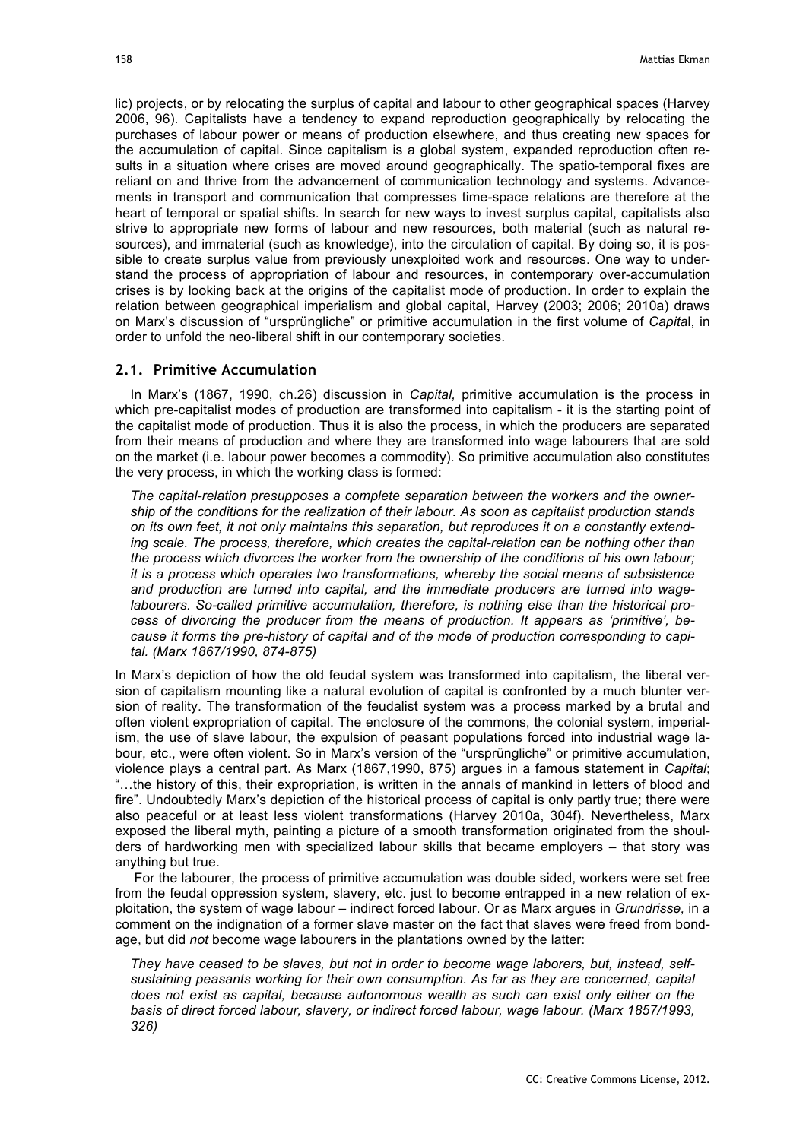lic) projects, or by relocating the surplus of capital and labour to other geographical spaces (Harvey 2006, 96). Capitalists have a tendency to expand reproduction geographically by relocating the purchases of labour power or means of production elsewhere, and thus creating new spaces for the accumulation of capital. Since capitalism is a global system, expanded reproduction often results in a situation where crises are moved around geographically. The spatio-temporal fixes are reliant on and thrive from the advancement of communication technology and systems. Advancements in transport and communication that compresses time-space relations are therefore at the heart of temporal or spatial shifts. In search for new ways to invest surplus capital, capitalists also strive to appropriate new forms of labour and new resources, both material (such as natural resources), and immaterial (such as knowledge), into the circulation of capital. By doing so, it is possible to create surplus value from previously unexploited work and resources. One way to understand the process of appropriation of labour and resources, in contemporary over-accumulation crises is by looking back at the origins of the capitalist mode of production. In order to explain the relation between geographical imperialism and global capital, Harvey (2003; 2006; 2010a) draws on Marx's discussion of "ursprüngliche" or primitive accumulation in the first volume of *Capita*l, in order to unfold the neo-liberal shift in our contemporary societies.

#### **2.1. Primitive Accumulation**

In Marx's (1867, 1990, ch.26) discussion in *Capital,* primitive accumulation is the process in which pre-capitalist modes of production are transformed into capitalism - it is the starting point of the capitalist mode of production. Thus it is also the process, in which the producers are separated from their means of production and where they are transformed into wage labourers that are sold on the market (i.e. labour power becomes a commodity). So primitive accumulation also constitutes the very process, in which the working class is formed:

*The capital-relation presupposes a complete separation between the workers and the ownership of the conditions for the realization of their labour. As soon as capitalist production stands on its own feet, it not only maintains this separation, but reproduces it on a constantly extending scale. The process, therefore, which creates the capital-relation can be nothing other than the process which divorces the worker from the ownership of the conditions of his own labour; it is a process which operates two transformations, whereby the social means of subsistence and production are turned into capital, and the immediate producers are turned into wagelabourers. So-called primitive accumulation, therefore, is nothing else than the historical process of divorcing the producer from the means of production. It appears as 'primitive', because it forms the pre-history of capital and of the mode of production corresponding to capital. (Marx 1867/1990, 874-875)*

In Marx's depiction of how the old feudal system was transformed into capitalism, the liberal version of capitalism mounting like a natural evolution of capital is confronted by a much blunter version of reality. The transformation of the feudalist system was a process marked by a brutal and often violent expropriation of capital. The enclosure of the commons, the colonial system, imperialism, the use of slave labour, the expulsion of peasant populations forced into industrial wage labour, etc., were often violent. So in Marx's version of the "ursprüngliche" or primitive accumulation, violence plays a central part. As Marx (1867,1990, 875) argues in a famous statement in *Capital*; "…the history of this, their expropriation, is written in the annals of mankind in letters of blood and fire". Undoubtedly Marx's depiction of the historical process of capital is only partly true; there were also peaceful or at least less violent transformations (Harvey 2010a, 304f). Nevertheless, Marx exposed the liberal myth, painting a picture of a smooth transformation originated from the shoulders of hardworking men with specialized labour skills that became employers – that story was anything but true.

For the labourer, the process of primitive accumulation was double sided, workers were set free from the feudal oppression system, slavery, etc. just to become entrapped in a new relation of exploitation, the system of wage labour – indirect forced labour. Or as Marx argues in *Grundrisse,* in a comment on the indignation of a former slave master on the fact that slaves were freed from bondage, but did *not* become wage labourers in the plantations owned by the latter:

*They have ceased to be slaves, but not in order to become wage laborers, but, instead, selfsustaining peasants working for their own consumption. As far as they are concerned, capital does not exist as capital, because autonomous wealth as such can exist only either on the basis of direct forced labour, slavery, or indirect forced labour, wage labour. (Marx 1857/1993, 326)*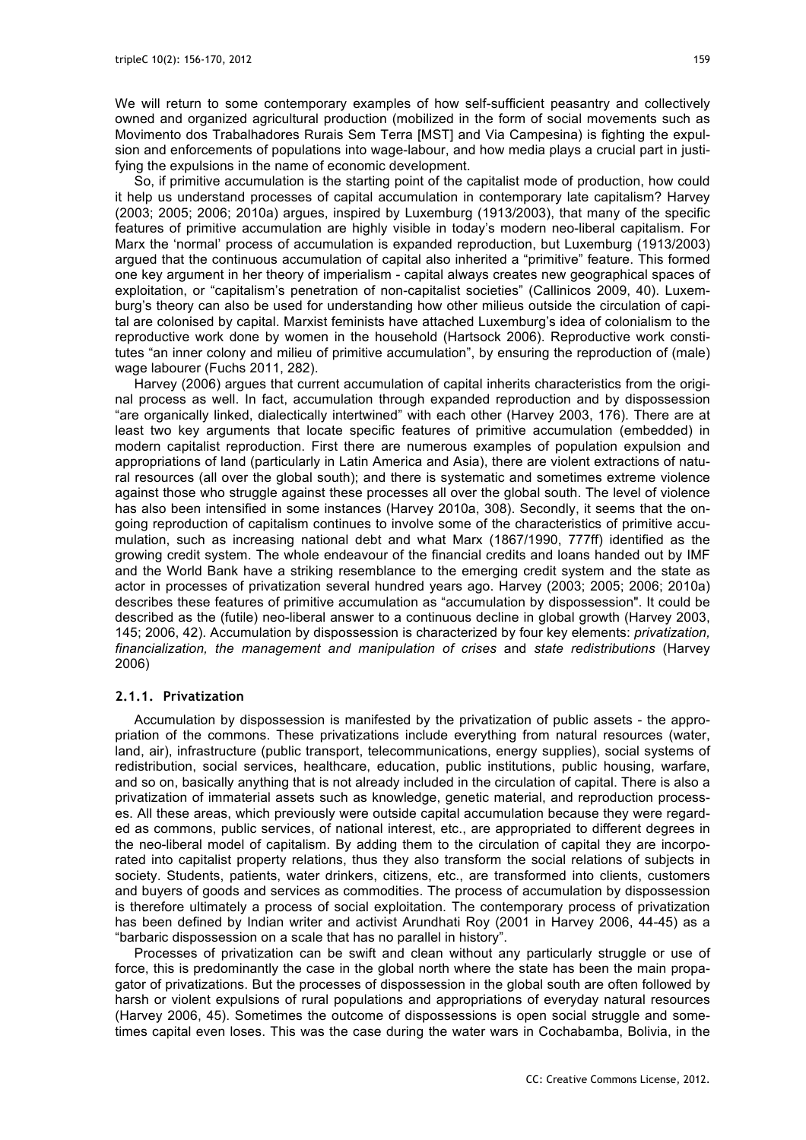We will return to some contemporary examples of how self-sufficient peasantry and collectively owned and organized agricultural production (mobilized in the form of social movements such as Movimento dos Trabalhadores Rurais Sem Terra [MST] and Via Campesina) is fighting the expulsion and enforcements of populations into wage-labour, and how media plays a crucial part in justifying the expulsions in the name of economic development.

So, if primitive accumulation is the starting point of the capitalist mode of production, how could it help us understand processes of capital accumulation in contemporary late capitalism? Harvey (2003; 2005; 2006; 2010a) argues, inspired by Luxemburg (1913/2003), that many of the specific features of primitive accumulation are highly visible in today's modern neo-liberal capitalism. For Marx the 'normal' process of accumulation is expanded reproduction, but Luxemburg (1913/2003) argued that the continuous accumulation of capital also inherited a "primitive" feature. This formed one key argument in her theory of imperialism - capital always creates new geographical spaces of exploitation, or "capitalism's penetration of non-capitalist societies" (Callinicos 2009, 40). Luxemburg's theory can also be used for understanding how other milieus outside the circulation of capital are colonised by capital. Marxist feminists have attached Luxemburg's idea of colonialism to the reproductive work done by women in the household (Hartsock 2006). Reproductive work constitutes "an inner colony and milieu of primitive accumulation", by ensuring the reproduction of (male) wage labourer (Fuchs 2011, 282).

Harvey (2006) argues that current accumulation of capital inherits characteristics from the original process as well. In fact, accumulation through expanded reproduction and by dispossession "are organically linked, dialectically intertwined" with each other (Harvey 2003, 176). There are at least two key arguments that locate specific features of primitive accumulation (embedded) in modern capitalist reproduction. First there are numerous examples of population expulsion and appropriations of land (particularly in Latin America and Asia), there are violent extractions of natural resources (all over the global south); and there is systematic and sometimes extreme violence against those who struggle against these processes all over the global south. The level of violence has also been intensified in some instances (Harvey 2010a, 308). Secondly, it seems that the ongoing reproduction of capitalism continues to involve some of the characteristics of primitive accumulation, such as increasing national debt and what Marx (1867/1990, 777ff) identified as the growing credit system. The whole endeavour of the financial credits and loans handed out by IMF and the World Bank have a striking resemblance to the emerging credit system and the state as actor in processes of privatization several hundred years ago. Harvey (2003; 2005; 2006; 2010a) describes these features of primitive accumulation as "accumulation by dispossession". It could be described as the (futile) neo-liberal answer to a continuous decline in global growth (Harvey 2003, 145; 2006, 42). Accumulation by dispossession is characterized by four key elements: *privatization, financialization, the management and manipulation of crises* and *state redistributions* (Harvey 2006)

#### **2.1.1. Privatization**

Accumulation by dispossession is manifested by the privatization of public assets - the appropriation of the commons. These privatizations include everything from natural resources (water, land, air), infrastructure (public transport, telecommunications, energy supplies), social systems of redistribution, social services, healthcare, education, public institutions, public housing, warfare, and so on, basically anything that is not already included in the circulation of capital. There is also a privatization of immaterial assets such as knowledge, genetic material, and reproduction processes. All these areas, which previously were outside capital accumulation because they were regarded as commons, public services, of national interest, etc., are appropriated to different degrees in the neo-liberal model of capitalism. By adding them to the circulation of capital they are incorporated into capitalist property relations, thus they also transform the social relations of subjects in society. Students, patients, water drinkers, citizens, etc., are transformed into clients, customers and buyers of goods and services as commodities. The process of accumulation by dispossession is therefore ultimately a process of social exploitation. The contemporary process of privatization has been defined by Indian writer and activist Arundhati Roy (2001 in Harvey 2006, 44-45) as a "barbaric dispossession on a scale that has no parallel in history".

Processes of privatization can be swift and clean without any particularly struggle or use of force, this is predominantly the case in the global north where the state has been the main propagator of privatizations. But the processes of dispossession in the global south are often followed by harsh or violent expulsions of rural populations and appropriations of everyday natural resources (Harvey 2006, 45). Sometimes the outcome of dispossessions is open social struggle and sometimes capital even loses. This was the case during the water wars in Cochabamba, Bolivia, in the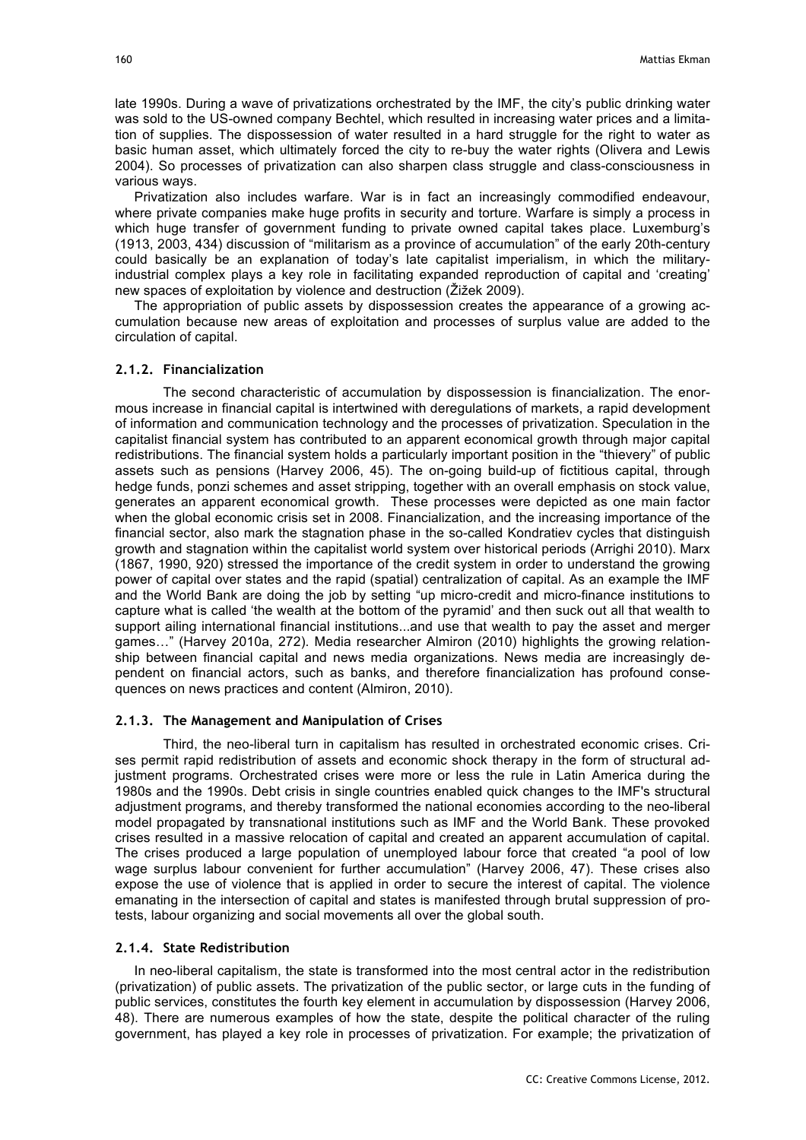late 1990s. During a wave of privatizations orchestrated by the IMF, the city's public drinking water was sold to the US-owned company Bechtel, which resulted in increasing water prices and a limitation of supplies. The dispossession of water resulted in a hard struggle for the right to water as basic human asset, which ultimately forced the city to re-buy the water rights (Olivera and Lewis 2004). So processes of privatization can also sharpen class struggle and class-consciousness in various ways.

Privatization also includes warfare. War is in fact an increasingly commodified endeavour, where private companies make huge profits in security and torture. Warfare is simply a process in which huge transfer of government funding to private owned capital takes place. Luxemburg's (1913, 2003, 434) discussion of "militarism as a province of accumulation" of the early 20th-century could basically be an explanation of today's late capitalist imperialism, in which the militaryindustrial complex plays a key role in facilitating expanded reproduction of capital and 'creating' new spaces of exploitation by violence and destruction (Žižek 2009).

The appropriation of public assets by dispossession creates the appearance of a growing accumulation because new areas of exploitation and processes of surplus value are added to the circulation of capital.

#### **2.1.2. Financialization**

The second characteristic of accumulation by dispossession is financialization. The enormous increase in financial capital is intertwined with deregulations of markets, a rapid development of information and communication technology and the processes of privatization. Speculation in the capitalist financial system has contributed to an apparent economical growth through major capital redistributions. The financial system holds a particularly important position in the "thievery" of public assets such as pensions (Harvey 2006, 45). The on-going build-up of fictitious capital, through hedge funds, ponzi schemes and asset stripping, together with an overall emphasis on stock value, generates an apparent economical growth. These processes were depicted as one main factor when the global economic crisis set in 2008. Financialization, and the increasing importance of the financial sector, also mark the stagnation phase in the so-called Kondratiev cycles that distinguish growth and stagnation within the capitalist world system over historical periods (Arrighi 2010). Marx (1867, 1990, 920) stressed the importance of the credit system in order to understand the growing power of capital over states and the rapid (spatial) centralization of capital. As an example the IMF and the World Bank are doing the job by setting "up micro-credit and micro-finance institutions to capture what is called 'the wealth at the bottom of the pyramid' and then suck out all that wealth to support ailing international financial institutions...and use that wealth to pay the asset and merger games…" (Harvey 2010a, 272). Media researcher Almiron (2010) highlights the growing relationship between financial capital and news media organizations. News media are increasingly dependent on financial actors, such as banks, and therefore financialization has profound consequences on news practices and content (Almiron, 2010).

#### **2.1.3. The Management and Manipulation of Crises**

Third, the neo-liberal turn in capitalism has resulted in orchestrated economic crises. Crises permit rapid redistribution of assets and economic shock therapy in the form of structural adjustment programs. Orchestrated crises were more or less the rule in Latin America during the 1980s and the 1990s. Debt crisis in single countries enabled quick changes to the IMF's structural adjustment programs, and thereby transformed the national economies according to the neo-liberal model propagated by transnational institutions such as IMF and the World Bank. These provoked crises resulted in a massive relocation of capital and created an apparent accumulation of capital. The crises produced a large population of unemployed labour force that created "a pool of low wage surplus labour convenient for further accumulation" (Harvey 2006, 47). These crises also expose the use of violence that is applied in order to secure the interest of capital. The violence emanating in the intersection of capital and states is manifested through brutal suppression of protests, labour organizing and social movements all over the global south.

#### **2.1.4. State Redistribution**

In neo-liberal capitalism, the state is transformed into the most central actor in the redistribution (privatization) of public assets. The privatization of the public sector, or large cuts in the funding of public services, constitutes the fourth key element in accumulation by dispossession (Harvey 2006, 48). There are numerous examples of how the state, despite the political character of the ruling government, has played a key role in processes of privatization. For example; the privatization of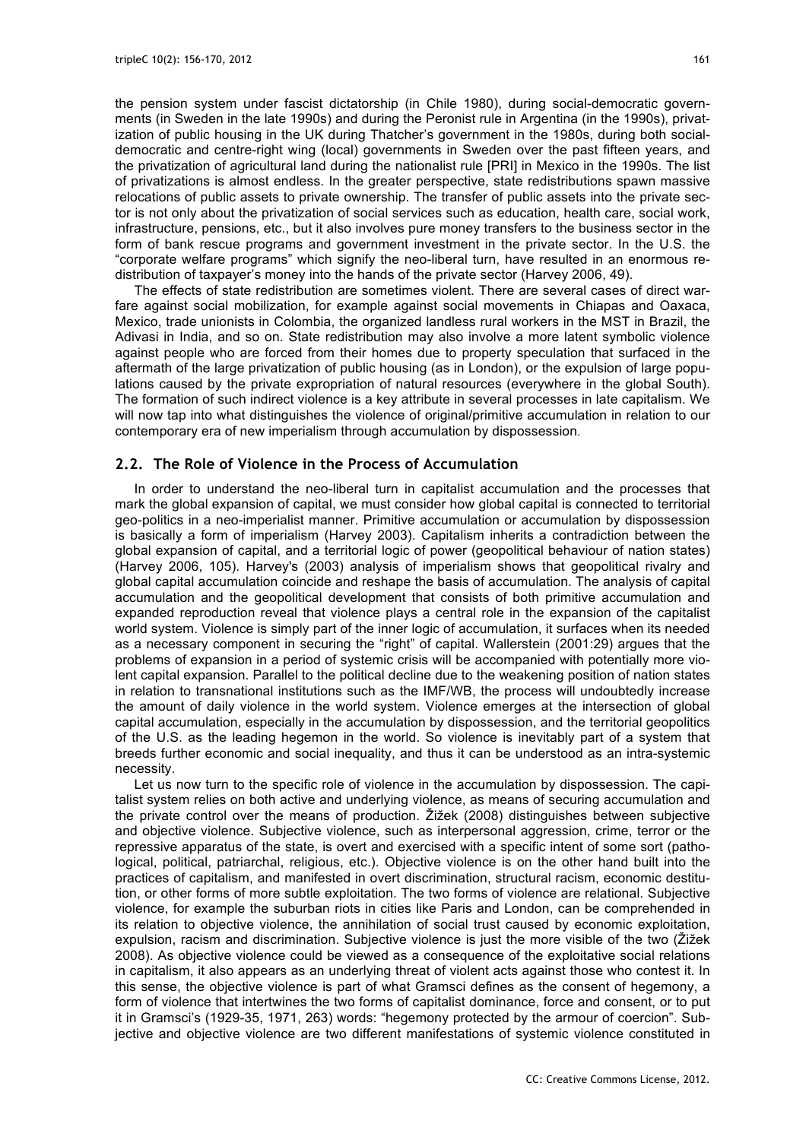the pension system under fascist dictatorship (in Chile 1980), during social-democratic governments (in Sweden in the late 1990s) and during the Peronist rule in Argentina (in the 1990s), privatization of public housing in the UK during Thatcher's government in the 1980s, during both socialdemocratic and centre-right wing (local) governments in Sweden over the past fifteen years, and the privatization of agricultural land during the nationalist rule [PRI] in Mexico in the 1990s. The list of privatizations is almost endless. In the greater perspective, state redistributions spawn massive relocations of public assets to private ownership. The transfer of public assets into the private sector is not only about the privatization of social services such as education, health care, social work, infrastructure, pensions, etc., but it also involves pure money transfers to the business sector in the form of bank rescue programs and government investment in the private sector. In the U.S. the "corporate welfare programs" which signify the neo-liberal turn, have resulted in an enormous redistribution of taxpayer's money into the hands of the private sector (Harvey 2006, 49).

The effects of state redistribution are sometimes violent. There are several cases of direct warfare against social mobilization, for example against social movements in Chiapas and Oaxaca, Mexico, trade unionists in Colombia, the organized landless rural workers in the MST in Brazil, the Adivasi in India, and so on. State redistribution may also involve a more latent symbolic violence against people who are forced from their homes due to property speculation that surfaced in the aftermath of the large privatization of public housing (as in London), or the expulsion of large populations caused by the private expropriation of natural resources (everywhere in the global South). The formation of such indirect violence is a key attribute in several processes in late capitalism. We will now tap into what distinguishes the violence of original/primitive accumulation in relation to our contemporary era of new imperialism through accumulation by dispossession.

#### **2.2. The Role of Violence in the Process of Accumulation**

In order to understand the neo-liberal turn in capitalist accumulation and the processes that mark the global expansion of capital, we must consider how global capital is connected to territorial geo-politics in a neo-imperialist manner. Primitive accumulation or accumulation by dispossession is basically a form of imperialism (Harvey 2003). Capitalism inherits a contradiction between the global expansion of capital, and a territorial logic of power (geopolitical behaviour of nation states) (Harvey 2006, 105). Harvey's (2003) analysis of imperialism shows that geopolitical rivalry and global capital accumulation coincide and reshape the basis of accumulation. The analysis of capital accumulation and the geopolitical development that consists of both primitive accumulation and expanded reproduction reveal that violence plays a central role in the expansion of the capitalist world system. Violence is simply part of the inner logic of accumulation, it surfaces when its needed as a necessary component in securing the "right" of capital. Wallerstein (2001:29) argues that the problems of expansion in a period of systemic crisis will be accompanied with potentially more violent capital expansion. Parallel to the political decline due to the weakening position of nation states in relation to transnational institutions such as the IMF/WB, the process will undoubtedly increase the amount of daily violence in the world system. Violence emerges at the intersection of global capital accumulation, especially in the accumulation by dispossession, and the territorial geopolitics of the U.S. as the leading hegemon in the world. So violence is inevitably part of a system that breeds further economic and social inequality, and thus it can be understood as an intra-systemic necessity.

Let us now turn to the specific role of violence in the accumulation by dispossession. The capitalist system relies on both active and underlying violence, as means of securing accumulation and the private control over the means of production. Žižek (2008) distinguishes between subjective and objective violence. Subjective violence, such as interpersonal aggression, crime, terror or the repressive apparatus of the state, is overt and exercised with a specific intent of some sort (pathological, political, patriarchal, religious, etc.). Objective violence is on the other hand built into the practices of capitalism, and manifested in overt discrimination, structural racism, economic destitution, or other forms of more subtle exploitation. The two forms of violence are relational. Subjective violence, for example the suburban riots in cities like Paris and London, can be comprehended in its relation to objective violence, the annihilation of social trust caused by economic exploitation, expulsion, racism and discrimination. Subjective violence is just the more visible of the two (Žižek 2008). As objective violence could be viewed as a consequence of the exploitative social relations in capitalism, it also appears as an underlying threat of violent acts against those who contest it. In this sense, the objective violence is part of what Gramsci defines as the consent of hegemony, a form of violence that intertwines the two forms of capitalist dominance, force and consent, or to put it in Gramsci's (1929-35, 1971, 263) words: "hegemony protected by the armour of coercion". Subjective and objective violence are two different manifestations of systemic violence constituted in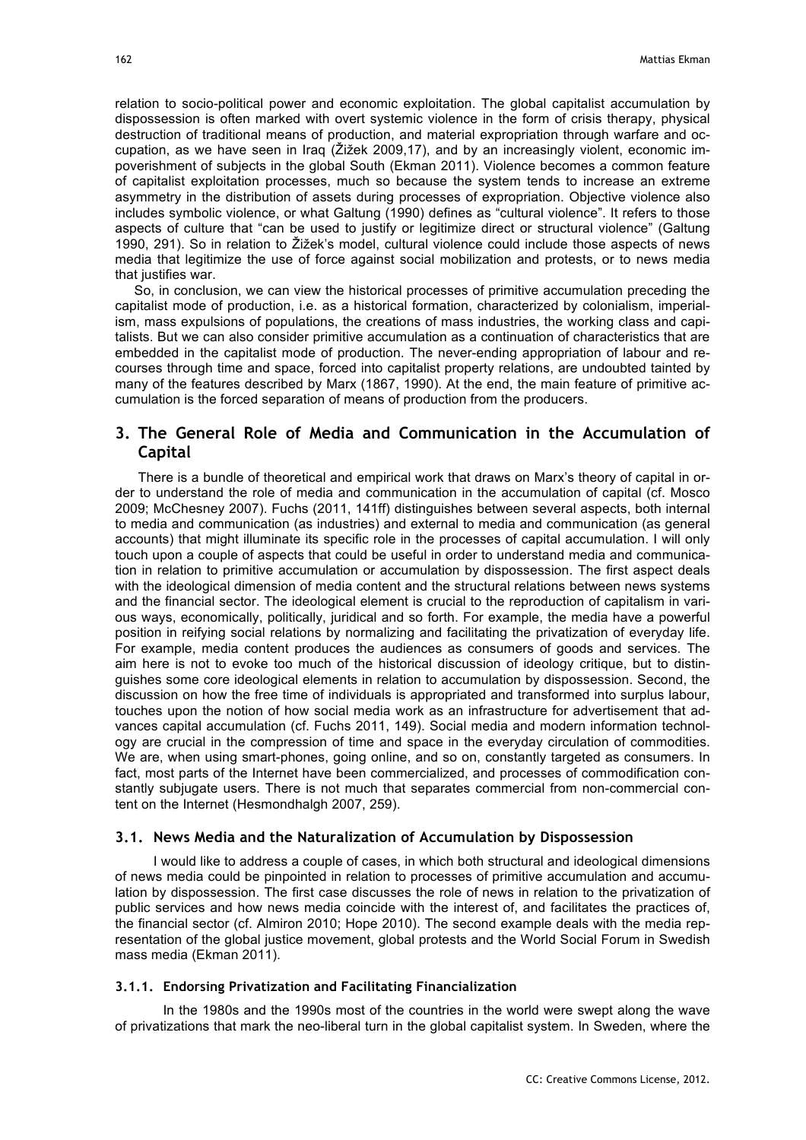relation to socio-political power and economic exploitation. The global capitalist accumulation by dispossession is often marked with overt systemic violence in the form of crisis therapy, physical destruction of traditional means of production, and material expropriation through warfare and occupation, as we have seen in Iraq (Žižek 2009,17), and by an increasingly violent, economic impoverishment of subjects in the global South (Ekman 2011). Violence becomes a common feature of capitalist exploitation processes, much so because the system tends to increase an extreme asymmetry in the distribution of assets during processes of expropriation. Objective violence also includes symbolic violence, or what Galtung (1990) defines as "cultural violence". It refers to those aspects of culture that "can be used to justify or legitimize direct or structural violence" (Galtung 1990, 291). So in relation to Žižek's model, cultural violence could include those aspects of news media that legitimize the use of force against social mobilization and protests, or to news media that justifies war.

So, in conclusion, we can view the historical processes of primitive accumulation preceding the capitalist mode of production, i.e. as a historical formation, characterized by colonialism, imperialism, mass expulsions of populations, the creations of mass industries, the working class and capitalists. But we can also consider primitive accumulation as a continuation of characteristics that are embedded in the capitalist mode of production. The never-ending appropriation of labour and recourses through time and space, forced into capitalist property relations, are undoubted tainted by many of the features described by Marx (1867, 1990). At the end, the main feature of primitive accumulation is the forced separation of means of production from the producers.

# **3. The General Role of Media and Communication in the Accumulation of Capital**

There is a bundle of theoretical and empirical work that draws on Marx's theory of capital in order to understand the role of media and communication in the accumulation of capital (cf. Mosco 2009; McChesney 2007). Fuchs (2011, 141ff) distinguishes between several aspects, both internal to media and communication (as industries) and external to media and communication (as general accounts) that might illuminate its specific role in the processes of capital accumulation. I will only touch upon a couple of aspects that could be useful in order to understand media and communication in relation to primitive accumulation or accumulation by dispossession. The first aspect deals with the ideological dimension of media content and the structural relations between news systems and the financial sector. The ideological element is crucial to the reproduction of capitalism in various ways, economically, politically, juridical and so forth. For example, the media have a powerful position in reifying social relations by normalizing and facilitating the privatization of everyday life. For example, media content produces the audiences as consumers of goods and services. The aim here is not to evoke too much of the historical discussion of ideology critique, but to distinguishes some core ideological elements in relation to accumulation by dispossession. Second, the discussion on how the free time of individuals is appropriated and transformed into surplus labour, touches upon the notion of how social media work as an infrastructure for advertisement that advances capital accumulation (cf. Fuchs 2011, 149). Social media and modern information technology are crucial in the compression of time and space in the everyday circulation of commodities. We are, when using smart-phones, going online, and so on, constantly targeted as consumers. In fact, most parts of the Internet have been commercialized, and processes of commodification constantly subjugate users. There is not much that separates commercial from non-commercial content on the Internet (Hesmondhalgh 2007, 259).

# **3.1. News Media and the Naturalization of Accumulation by Dispossession**

I would like to address a couple of cases, in which both structural and ideological dimensions of news media could be pinpointed in relation to processes of primitive accumulation and accumulation by dispossession. The first case discusses the role of news in relation to the privatization of public services and how news media coincide with the interest of, and facilitates the practices of, the financial sector (cf. Almiron 2010; Hope 2010). The second example deals with the media representation of the global justice movement, global protests and the World Social Forum in Swedish mass media (Ekman 2011).

#### **3.1.1. Endorsing Privatization and Facilitating Financialization**

In the 1980s and the 1990s most of the countries in the world were swept along the wave of privatizations that mark the neo-liberal turn in the global capitalist system. In Sweden, where the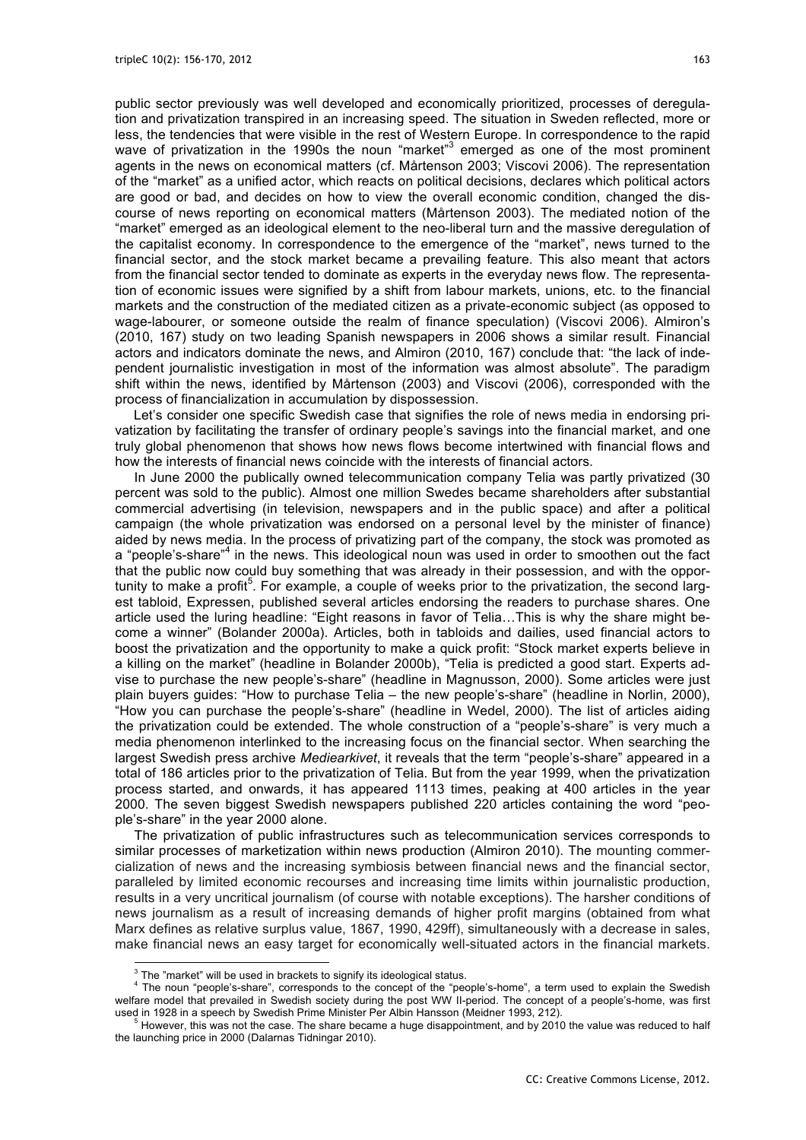public sector previously was well developed and economically prioritized, processes of deregulation and privatization transpired in an increasing speed. The situation in Sweden reflected, more or less, the tendencies that were visible in the rest of Western Europe. In correspondence to the rapid wave of privatization in the 1990s the noun "market"<sup>3</sup> emerged as one of the most prominent agents in the news on economical matters (cf. Mårtenson 2003; Viscovi 2006). The representation of the "market" as a unified actor, which reacts on political decisions, declares which political actors are good or bad, and decides on how to view the overall economic condition, changed the discourse of news reporting on economical matters (Mårtenson 2003). The mediated notion of the "market" emerged as an ideological element to the neo-liberal turn and the massive deregulation of the capitalist economy. In correspondence to the emergence of the "market", news turned to the financial sector, and the stock market became a prevailing feature. This also meant that actors from the financial sector tended to dominate as experts in the everyday news flow. The representation of economic issues were signified by a shift from labour markets, unions, etc. to the financial markets and the construction of the mediated citizen as a private-economic subject (as opposed to wage-labourer, or someone outside the realm of finance speculation) (Viscovi 2006). Almiron's (2010, 167) study on two leading Spanish newspapers in 2006 shows a similar result. Financial actors and indicators dominate the news, and Almiron (2010, 167) conclude that: "the lack of independent journalistic investigation in most of the information was almost absolute". The paradigm shift within the news, identified by Mårtenson (2003) and Viscovi (2006), corresponded with the process of financialization in accumulation by dispossession.

 Let's consider one specific Swedish case that signifies the role of news media in endorsing privatization by facilitating the transfer of ordinary people's savings into the financial market, and one truly global phenomenon that shows how news flows become intertwined with financial flows and how the interests of financial news coincide with the interests of financial actors.

In June 2000 the publically owned telecommunication company Telia was partly privatized (30 percent was sold to the public). Almost one million Swedes became shareholders after substantial commercial advertising (in television, newspapers and in the public space) and after a political campaign (the whole privatization was endorsed on a personal level by the minister of finance) aided by news media. In the process of privatizing part of the company, the stock was promoted as a "people's-share"<sup>4</sup> in the news. This ideological noun was used in order to smoothen out the fact that the public now could buy something that was already in their possession, and with the opportunity to make a profit<sup>5</sup>. For example, a couple of weeks prior to the privatization, the second largest tabloid, Expressen, published several articles endorsing the readers to purchase shares. One article used the luring headline: "Eight reasons in favor of Telia…This is why the share might become a winner" (Bolander 2000a). Articles, both in tabloids and dailies, used financial actors to boost the privatization and the opportunity to make a quick profit: "Stock market experts believe in a killing on the market" (headline in Bolander 2000b), "Telia is predicted a good start. Experts advise to purchase the new people's-share" (headline in Magnusson, 2000). Some articles were just plain buyers guides: "How to purchase Telia – the new people's-share" (headline in Norlin, 2000), "How you can purchase the people's-share" (headline in Wedel, 2000). The list of articles aiding the privatization could be extended. The whole construction of a "people's-share" is very much a media phenomenon interlinked to the increasing focus on the financial sector. When searching the largest Swedish press archive *Mediearkivet*, it reveals that the term "people's-share" appeared in a total of 186 articles prior to the privatization of Telia. But from the year 1999, when the privatization process started, and onwards, it has appeared 1113 times, peaking at 400 articles in the year 2000. The seven biggest Swedish newspapers published 220 articles containing the word "people's-share" in the year 2000 alone.

The privatization of public infrastructures such as telecommunication services corresponds to similar processes of marketization within news production (Almiron 2010). The mounting commercialization of news and the increasing symbiosis between financial news and the financial sector, paralleled by limited economic recourses and increasing time limits within journalistic production, results in a very uncritical journalism (of course with notable exceptions). The harsher conditions of news journalism as a result of increasing demands of higher profit margins (obtained from what Marx defines as relative surplus value, 1867, 1990, 429ff), simultaneously with a decrease in sales, make financial news an easy target for economically well-situated actors in the financial markets.

 $^3$  The "market" will be used in brackets to signify its ideological status.<br><sup>4</sup> The noun "people's-share", corresponds to the concept of the "people's-home", a term used to explain the Swedish welfare model that prevailed in Swedish society during the post WW II-period. The concept of a people's-home, was first used in 1928 in a speech by Swedish Prime Minister Per Albin Hansson (Meidner 1993, 212).<br><sup>5</sup> However, this was not the case. The share became a huge disappointment, and by 2010 the value was reduced to half

the launching price in 2000 (Dalarnas Tidningar 2010).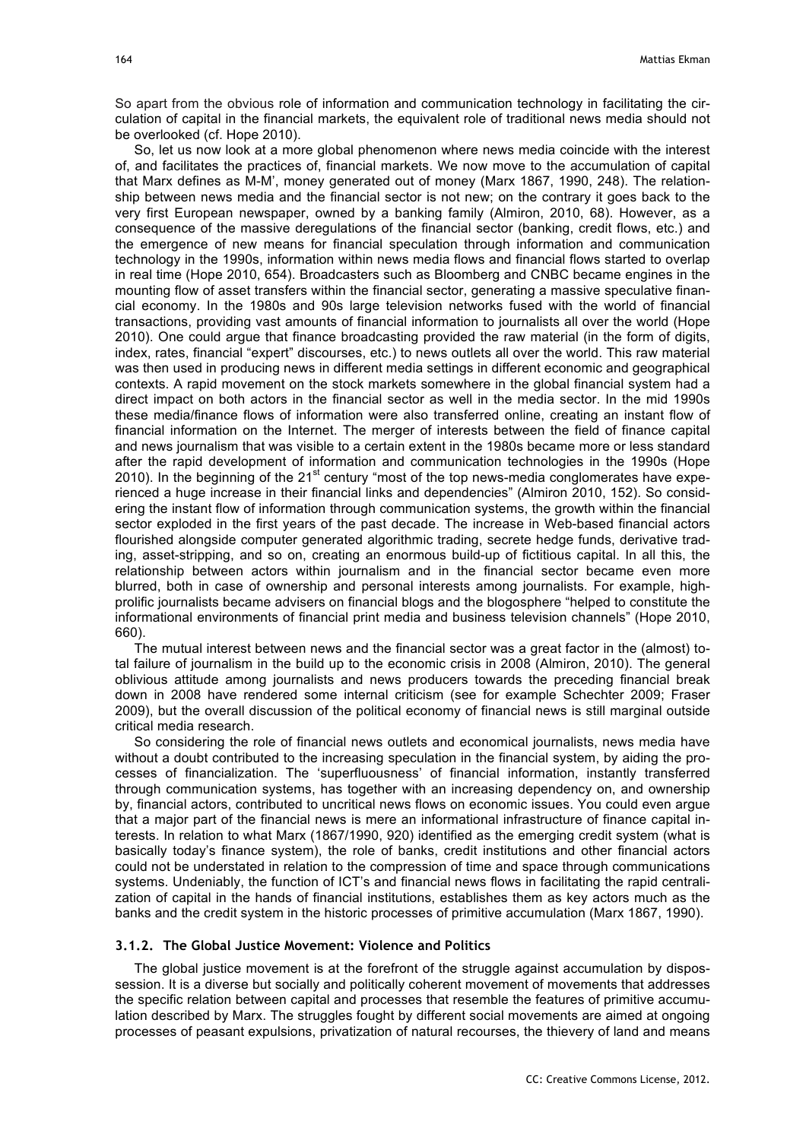So apart from the obvious role of information and communication technology in facilitating the circulation of capital in the financial markets, the equivalent role of traditional news media should not be overlooked (cf. Hope 2010).

So, let us now look at a more global phenomenon where news media coincide with the interest of, and facilitates the practices of, financial markets. We now move to the accumulation of capital that Marx defines as M-M', money generated out of money (Marx 1867, 1990, 248). The relationship between news media and the financial sector is not new; on the contrary it goes back to the very first European newspaper, owned by a banking family (Almiron, 2010, 68). However, as a consequence of the massive deregulations of the financial sector (banking, credit flows, etc.) and the emergence of new means for financial speculation through information and communication technology in the 1990s, information within news media flows and financial flows started to overlap in real time (Hope 2010, 654). Broadcasters such as Bloomberg and CNBC became engines in the mounting flow of asset transfers within the financial sector, generating a massive speculative financial economy. In the 1980s and 90s large television networks fused with the world of financial transactions, providing vast amounts of financial information to journalists all over the world (Hope 2010). One could argue that finance broadcasting provided the raw material (in the form of digits, index, rates, financial "expert" discourses, etc.) to news outlets all over the world. This raw material was then used in producing news in different media settings in different economic and geographical contexts. A rapid movement on the stock markets somewhere in the global financial system had a direct impact on both actors in the financial sector as well in the media sector. In the mid 1990s these media/finance flows of information were also transferred online, creating an instant flow of financial information on the Internet. The merger of interests between the field of finance capital and news journalism that was visible to a certain extent in the 1980s became more or less standard after the rapid development of information and communication technologies in the 1990s (Hope 2010). In the beginning of the 21<sup>st</sup> century "most of the top news-media conglomerates have experienced a huge increase in their financial links and dependencies" (Almiron 2010, 152). So considering the instant flow of information through communication systems, the growth within the financial sector exploded in the first years of the past decade. The increase in Web-based financial actors flourished alongside computer generated algorithmic trading, secrete hedge funds, derivative trading, asset-stripping, and so on, creating an enormous build-up of fictitious capital. In all this, the relationship between actors within journalism and in the financial sector became even more blurred, both in case of ownership and personal interests among journalists. For example, highprolific journalists became advisers on financial blogs and the blogosphere "helped to constitute the informational environments of financial print media and business television channels" (Hope 2010, 660).

The mutual interest between news and the financial sector was a great factor in the (almost) total failure of journalism in the build up to the economic crisis in 2008 (Almiron, 2010). The general oblivious attitude among journalists and news producers towards the preceding financial break down in 2008 have rendered some internal criticism (see for example Schechter 2009; Fraser 2009), but the overall discussion of the political economy of financial news is still marginal outside critical media research.

So considering the role of financial news outlets and economical journalists, news media have without a doubt contributed to the increasing speculation in the financial system, by aiding the processes of financialization. The 'superfluousness' of financial information, instantly transferred through communication systems, has together with an increasing dependency on, and ownership by, financial actors, contributed to uncritical news flows on economic issues. You could even argue that a major part of the financial news is mere an informational infrastructure of finance capital interests. In relation to what Marx (1867/1990, 920) identified as the emerging credit system (what is basically today's finance system), the role of banks, credit institutions and other financial actors could not be understated in relation to the compression of time and space through communications systems. Undeniably, the function of ICT's and financial news flows in facilitating the rapid centralization of capital in the hands of financial institutions, establishes them as key actors much as the banks and the credit system in the historic processes of primitive accumulation (Marx 1867, 1990).

#### **3.1.2. The Global Justice Movement: Violence and Politics**

The global justice movement is at the forefront of the struggle against accumulation by dispossession. It is a diverse but socially and politically coherent movement of movements that addresses the specific relation between capital and processes that resemble the features of primitive accumulation described by Marx. The struggles fought by different social movements are aimed at ongoing processes of peasant expulsions, privatization of natural recourses, the thievery of land and means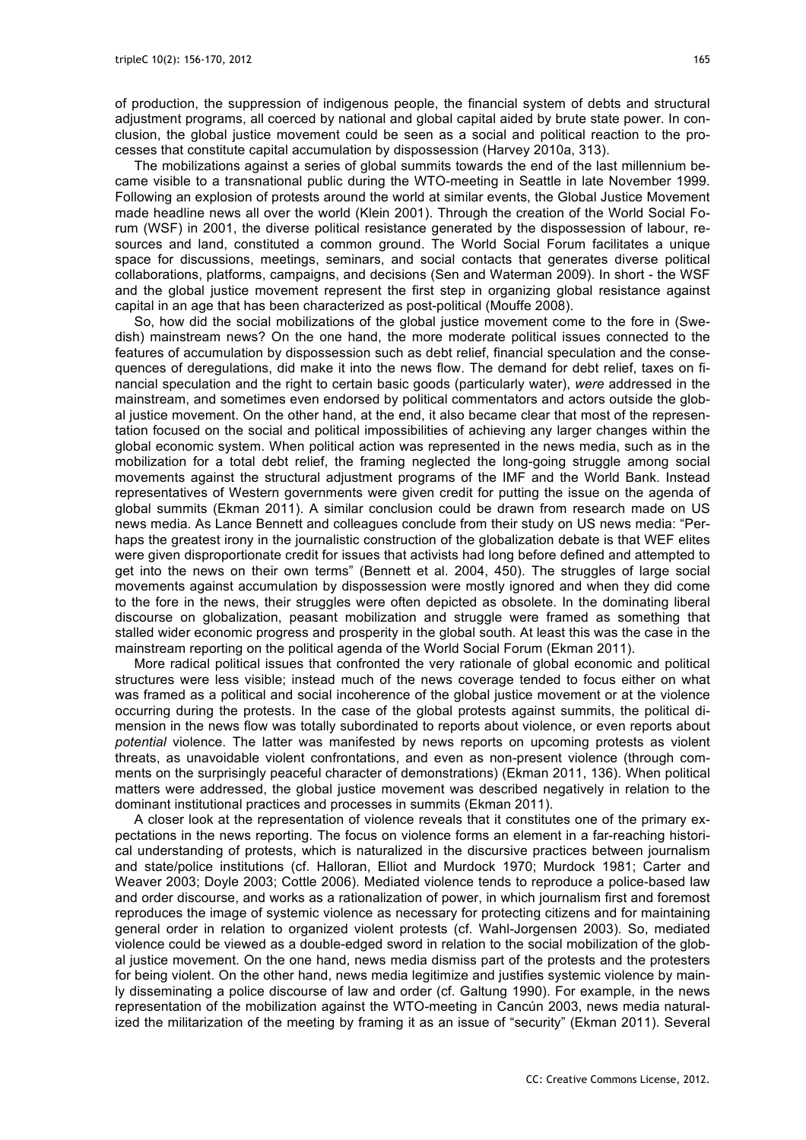of production, the suppression of indigenous people, the financial system of debts and structural adjustment programs, all coerced by national and global capital aided by brute state power. In conclusion, the global justice movement could be seen as a social and political reaction to the processes that constitute capital accumulation by dispossession (Harvey 2010a, 313).

The mobilizations against a series of global summits towards the end of the last millennium became visible to a transnational public during the WTO-meeting in Seattle in late November 1999. Following an explosion of protests around the world at similar events, the Global Justice Movement made headline news all over the world (Klein 2001). Through the creation of the World Social Forum (WSF) in 2001, the diverse political resistance generated by the dispossession of labour, resources and land, constituted a common ground. The World Social Forum facilitates a unique space for discussions, meetings, seminars, and social contacts that generates diverse political collaborations, platforms, campaigns, and decisions (Sen and Waterman 2009). In short - the WSF and the global justice movement represent the first step in organizing global resistance against capital in an age that has been characterized as post-political (Mouffe 2008).

So, how did the social mobilizations of the global justice movement come to the fore in (Swedish) mainstream news? On the one hand, the more moderate political issues connected to the features of accumulation by dispossession such as debt relief, financial speculation and the consequences of deregulations, did make it into the news flow. The demand for debt relief, taxes on financial speculation and the right to certain basic goods (particularly water), *were* addressed in the mainstream, and sometimes even endorsed by political commentators and actors outside the global justice movement. On the other hand, at the end, it also became clear that most of the representation focused on the social and political impossibilities of achieving any larger changes within the global economic system. When political action was represented in the news media, such as in the mobilization for a total debt relief, the framing neglected the long-going struggle among social movements against the structural adjustment programs of the IMF and the World Bank. Instead representatives of Western governments were given credit for putting the issue on the agenda of global summits (Ekman 2011). A similar conclusion could be drawn from research made on US news media. As Lance Bennett and colleagues conclude from their study on US news media: "Perhaps the greatest irony in the journalistic construction of the globalization debate is that WEF elites were given disproportionate credit for issues that activists had long before defined and attempted to get into the news on their own terms" (Bennett et al. 2004, 450). The struggles of large social movements against accumulation by dispossession were mostly ignored and when they did come to the fore in the news, their struggles were often depicted as obsolete. In the dominating liberal discourse on globalization, peasant mobilization and struggle were framed as something that stalled wider economic progress and prosperity in the global south. At least this was the case in the mainstream reporting on the political agenda of the World Social Forum (Ekman 2011).

More radical political issues that confronted the very rationale of global economic and political structures were less visible; instead much of the news coverage tended to focus either on what was framed as a political and social incoherence of the global justice movement or at the violence occurring during the protests. In the case of the global protests against summits, the political dimension in the news flow was totally subordinated to reports about violence, or even reports about *potential* violence. The latter was manifested by news reports on upcoming protests as violent threats, as unavoidable violent confrontations, and even as non-present violence (through comments on the surprisingly peaceful character of demonstrations) (Ekman 2011, 136). When political matters were addressed, the global justice movement was described negatively in relation to the dominant institutional practices and processes in summits (Ekman 2011).

A closer look at the representation of violence reveals that it constitutes one of the primary expectations in the news reporting. The focus on violence forms an element in a far-reaching historical understanding of protests, which is naturalized in the discursive practices between journalism and state/police institutions (cf. Halloran, Elliot and Murdock 1970; Murdock 1981; Carter and Weaver 2003; Doyle 2003; Cottle 2006). Mediated violence tends to reproduce a police-based law and order discourse, and works as a rationalization of power, in which journalism first and foremost reproduces the image of systemic violence as necessary for protecting citizens and for maintaining general order in relation to organized violent protests (cf. Wahl-Jorgensen 2003). So, mediated violence could be viewed as a double-edged sword in relation to the social mobilization of the global justice movement. On the one hand, news media dismiss part of the protests and the protesters for being violent. On the other hand, news media legitimize and justifies systemic violence by mainly disseminating a police discourse of law and order (cf. Galtung 1990). For example, in the news representation of the mobilization against the WTO-meeting in Cancún 2003, news media naturalized the militarization of the meeting by framing it as an issue of "security" (Ekman 2011). Several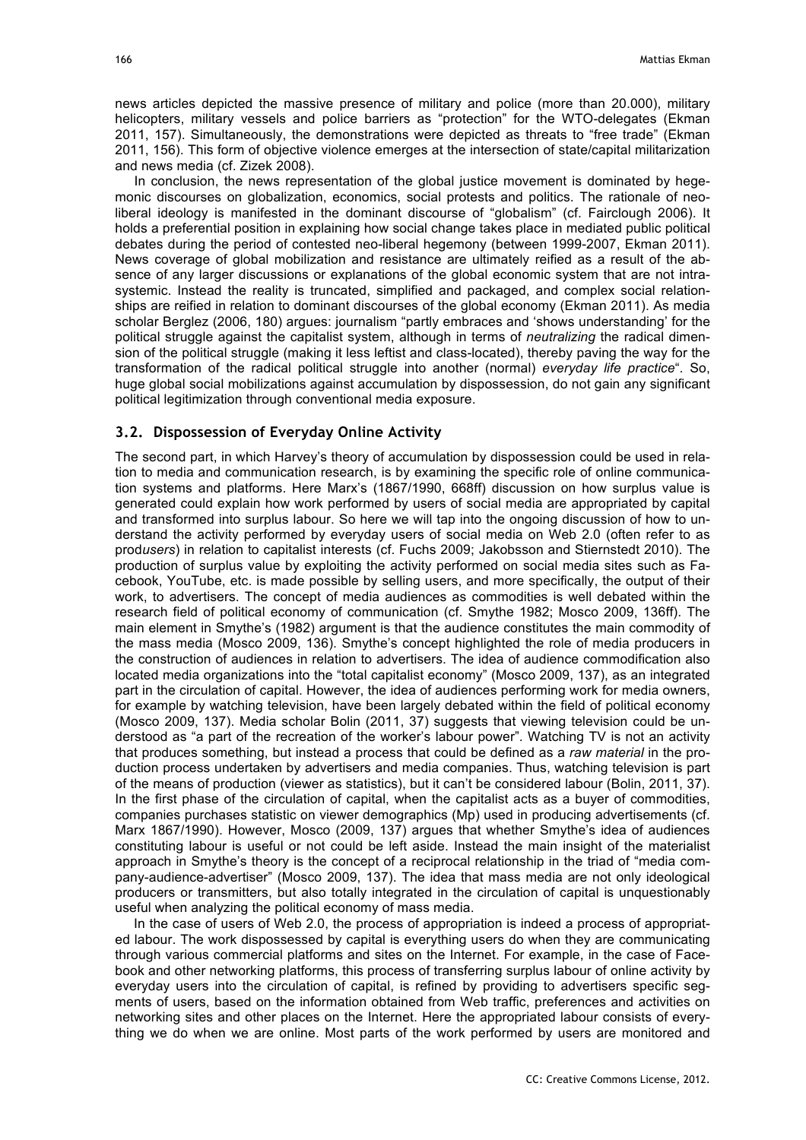news articles depicted the massive presence of military and police (more than 20.000), military helicopters, military vessels and police barriers as "protection" for the WTO-delegates (Ekman 2011, 157). Simultaneously, the demonstrations were depicted as threats to "free trade" (Ekman 2011, 156). This form of objective violence emerges at the intersection of state/capital militarization and news media (cf. Zizek 2008).

In conclusion, the news representation of the global justice movement is dominated by hegemonic discourses on globalization, economics, social protests and politics. The rationale of neoliberal ideology is manifested in the dominant discourse of "globalism" (cf. Fairclough 2006). It holds a preferential position in explaining how social change takes place in mediated public political debates during the period of contested neo-liberal hegemony (between 1999-2007, Ekman 2011). News coverage of global mobilization and resistance are ultimately reified as a result of the absence of any larger discussions or explanations of the global economic system that are not intrasystemic. Instead the reality is truncated, simplified and packaged, and complex social relationships are reified in relation to dominant discourses of the global economy (Ekman 2011). As media scholar Berglez (2006, 180) argues: journalism "partly embraces and 'shows understanding' for the political struggle against the capitalist system, although in terms of *neutralizing* the radical dimension of the political struggle (making it less leftist and class-located), thereby paving the way for the transformation of the radical political struggle into another (normal) *everyday life practice*". So, huge global social mobilizations against accumulation by dispossession, do not gain any significant political legitimization through conventional media exposure.

### **3.2. Dispossession of Everyday Online Activity**

The second part, in which Harvey's theory of accumulation by dispossession could be used in relation to media and communication research, is by examining the specific role of online communication systems and platforms. Here Marx's (1867/1990, 668ff) discussion on how surplus value is generated could explain how work performed by users of social media are appropriated by capital and transformed into surplus labour. So here we will tap into the ongoing discussion of how to understand the activity performed by everyday users of social media on Web 2.0 (often refer to as prod*users*) in relation to capitalist interests (cf. Fuchs 2009; Jakobsson and Stiernstedt 2010). The production of surplus value by exploiting the activity performed on social media sites such as Facebook, YouTube, etc. is made possible by selling users, and more specifically, the output of their work, to advertisers. The concept of media audiences as commodities is well debated within the research field of political economy of communication (cf. Smythe 1982; Mosco 2009, 136ff). The main element in Smythe's (1982) argument is that the audience constitutes the main commodity of the mass media (Mosco 2009, 136). Smythe's concept highlighted the role of media producers in the construction of audiences in relation to advertisers. The idea of audience commodification also located media organizations into the "total capitalist economy" (Mosco 2009, 137), as an integrated part in the circulation of capital. However, the idea of audiences performing work for media owners, for example by watching television, have been largely debated within the field of political economy (Mosco 2009, 137). Media scholar Bolin (2011, 37) suggests that viewing television could be understood as "a part of the recreation of the worker's labour power". Watching TV is not an activity that produces something, but instead a process that could be defined as a *raw material* in the production process undertaken by advertisers and media companies. Thus, watching television is part of the means of production (viewer as statistics), but it can't be considered labour (Bolin, 2011, 37). In the first phase of the circulation of capital, when the capitalist acts as a buyer of commodities, companies purchases statistic on viewer demographics (Mp) used in producing advertisements (cf. Marx 1867/1990). However, Mosco (2009, 137) argues that whether Smythe's idea of audiences constituting labour is useful or not could be left aside. Instead the main insight of the materialist approach in Smythe's theory is the concept of a reciprocal relationship in the triad of "media company-audience-advertiser" (Mosco 2009, 137). The idea that mass media are not only ideological producers or transmitters, but also totally integrated in the circulation of capital is unquestionably useful when analyzing the political economy of mass media.

 In the case of users of Web 2.0, the process of appropriation is indeed a process of appropriated labour. The work dispossessed by capital is everything users do when they are communicating through various commercial platforms and sites on the Internet. For example, in the case of Facebook and other networking platforms, this process of transferring surplus labour of online activity by everyday users into the circulation of capital, is refined by providing to advertisers specific segments of users, based on the information obtained from Web traffic, preferences and activities on networking sites and other places on the Internet. Here the appropriated labour consists of everything we do when we are online. Most parts of the work performed by users are monitored and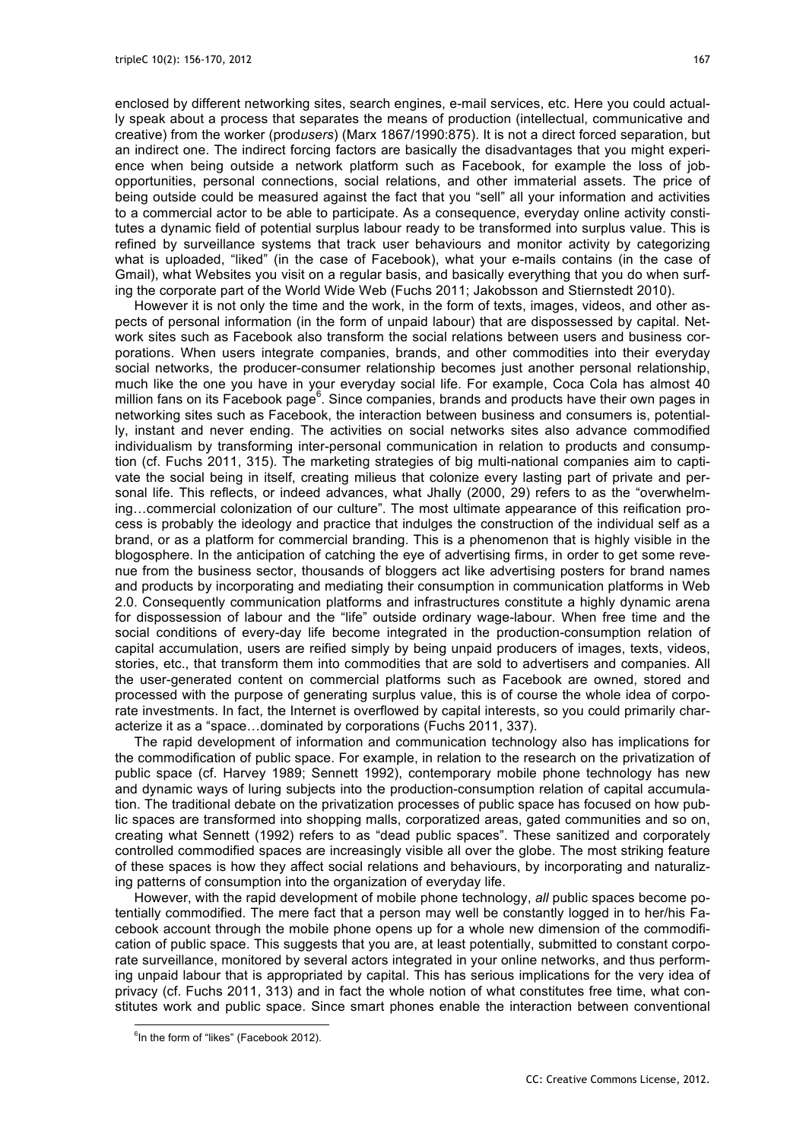enclosed by different networking sites, search engines, e-mail services, etc. Here you could actually speak about a process that separates the means of production (intellectual, communicative and creative) from the worker (prod*users*) (Marx 1867/1990:875). It is not a direct forced separation, but an indirect one. The indirect forcing factors are basically the disadvantages that you might experience when being outside a network platform such as Facebook, for example the loss of jobopportunities, personal connections, social relations, and other immaterial assets. The price of being outside could be measured against the fact that you "sell" all your information and activities to a commercial actor to be able to participate. As a consequence, everyday online activity constitutes a dynamic field of potential surplus labour ready to be transformed into surplus value. This is refined by surveillance systems that track user behaviours and monitor activity by categorizing what is uploaded, "liked" (in the case of Facebook), what your e-mails contains (in the case of

Gmail), what Websites you visit on a regular basis, and basically everything that you do when surf-

ing the corporate part of the World Wide Web (Fuchs 2011; Jakobsson and Stiernstedt 2010). However it is not only the time and the work, in the form of texts, images, videos, and other aspects of personal information (in the form of unpaid labour) that are dispossessed by capital. Network sites such as Facebook also transform the social relations between users and business corporations. When users integrate companies, brands, and other commodities into their everyday social networks, the producer-consumer relationship becomes just another personal relationship, much like the one you have in your everyday social life. For example, Coca Cola has almost 40 million fans on its Facebook page<sup>6</sup>. Since companies, brands and products have their own pages in networking sites such as Facebook, the interaction between business and consumers is, potentially, instant and never ending. The activities on social networks sites also advance commodified individualism by transforming inter-personal communication in relation to products and consumption (cf. Fuchs 2011, 315). The marketing strategies of big multi-national companies aim to captivate the social being in itself, creating milieus that colonize every lasting part of private and personal life. This reflects, or indeed advances, what Jhally (2000, 29) refers to as the "overwhelming…commercial colonization of our culture". The most ultimate appearance of this reification process is probably the ideology and practice that indulges the construction of the individual self as a brand, or as a platform for commercial branding. This is a phenomenon that is highly visible in the blogosphere. In the anticipation of catching the eye of advertising firms, in order to get some revenue from the business sector, thousands of bloggers act like advertising posters for brand names and products by incorporating and mediating their consumption in communication platforms in Web 2.0. Consequently communication platforms and infrastructures constitute a highly dynamic arena for dispossession of labour and the "life" outside ordinary wage-labour. When free time and the social conditions of every-day life become integrated in the production-consumption relation of capital accumulation, users are reified simply by being unpaid producers of images, texts, videos, stories, etc., that transform them into commodities that are sold to advertisers and companies. All the user-generated content on commercial platforms such as Facebook are owned, stored and processed with the purpose of generating surplus value, this is of course the whole idea of corporate investments. In fact, the Internet is overflowed by capital interests, so you could primarily characterize it as a "space…dominated by corporations (Fuchs 2011, 337).

The rapid development of information and communication technology also has implications for the commodification of public space. For example, in relation to the research on the privatization of public space (cf. Harvey 1989; Sennett 1992), contemporary mobile phone technology has new and dynamic ways of luring subjects into the production-consumption relation of capital accumulation. The traditional debate on the privatization processes of public space has focused on how public spaces are transformed into shopping malls, corporatized areas, gated communities and so on, creating what Sennett (1992) refers to as "dead public spaces". These sanitized and corporately controlled commodified spaces are increasingly visible all over the globe. The most striking feature of these spaces is how they affect social relations and behaviours, by incorporating and naturalizing patterns of consumption into the organization of everyday life.

However, with the rapid development of mobile phone technology, *all* public spaces become potentially commodified. The mere fact that a person may well be constantly logged in to her/his Facebook account through the mobile phone opens up for a whole new dimension of the commodification of public space. This suggests that you are, at least potentially, submitted to constant corporate surveillance, monitored by several actors integrated in your online networks, and thus performing unpaid labour that is appropriated by capital. This has serious implications for the very idea of privacy (cf. Fuchs 2011, 313) and in fact the whole notion of what constitutes free time, what constitutes work and public space. Since smart phones enable the interaction between conventional

<sup>-&</sup>lt;br>6  $6$ In the form of "likes" (Facebook 2012).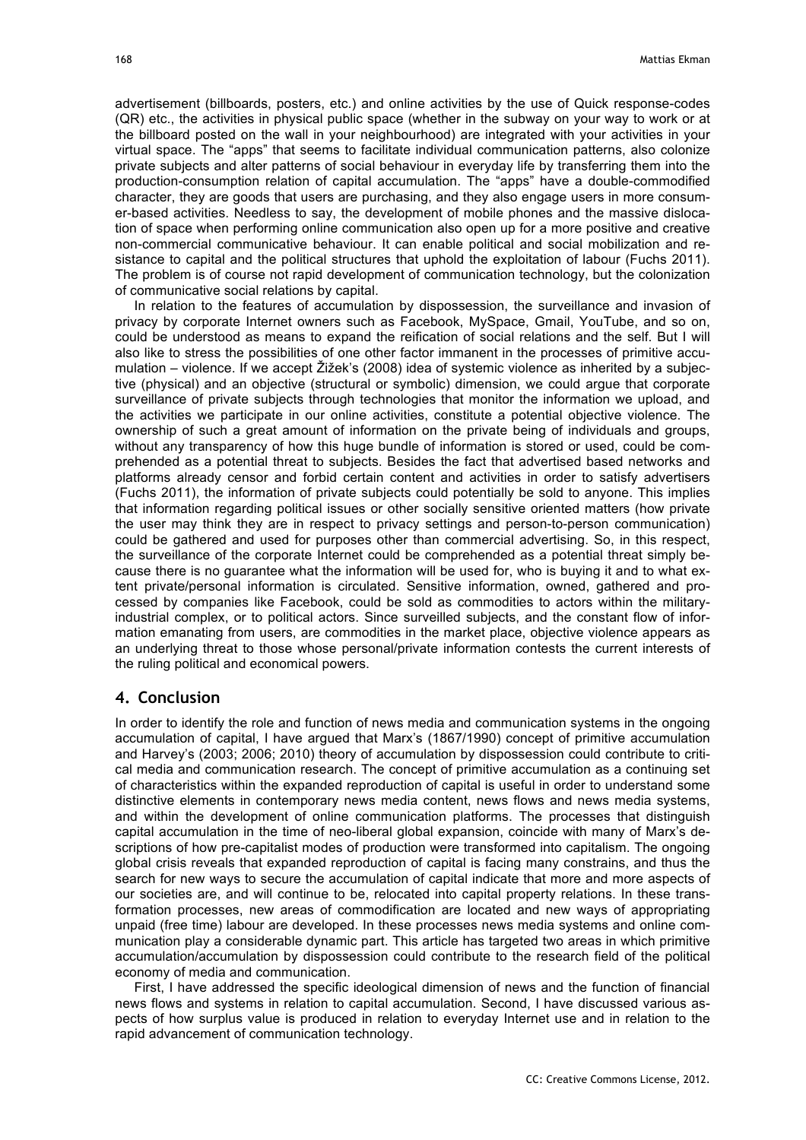advertisement (billboards, posters, etc.) and online activities by the use of Quick response-codes (QR) etc., the activities in physical public space (whether in the subway on your way to work or at the billboard posted on the wall in your neighbourhood) are integrated with your activities in your virtual space. The "apps" that seems to facilitate individual communication patterns, also colonize private subjects and alter patterns of social behaviour in everyday life by transferring them into the production-consumption relation of capital accumulation. The "apps" have a double-commodified character, they are goods that users are purchasing, and they also engage users in more consumer-based activities. Needless to say, the development of mobile phones and the massive dislocation of space when performing online communication also open up for a more positive and creative non-commercial communicative behaviour. It can enable political and social mobilization and resistance to capital and the political structures that uphold the exploitation of labour (Fuchs 2011). The problem is of course not rapid development of communication technology, but the colonization of communicative social relations by capital.

In relation to the features of accumulation by dispossession, the surveillance and invasion of privacy by corporate Internet owners such as Facebook, MySpace, Gmail, YouTube, and so on, could be understood as means to expand the reification of social relations and the self. But I will also like to stress the possibilities of one other factor immanent in the processes of primitive accumulation – violence. If we accept Žižek's (2008) idea of systemic violence as inherited by a subjective (physical) and an objective (structural or symbolic) dimension, we could argue that corporate surveillance of private subjects through technologies that monitor the information we upload, and the activities we participate in our online activities, constitute a potential objective violence. The ownership of such a great amount of information on the private being of individuals and groups, without any transparency of how this huge bundle of information is stored or used, could be comprehended as a potential threat to subjects. Besides the fact that advertised based networks and platforms already censor and forbid certain content and activities in order to satisfy advertisers (Fuchs 2011), the information of private subjects could potentially be sold to anyone. This implies that information regarding political issues or other socially sensitive oriented matters (how private the user may think they are in respect to privacy settings and person-to-person communication) could be gathered and used for purposes other than commercial advertising. So, in this respect, the surveillance of the corporate Internet could be comprehended as a potential threat simply because there is no guarantee what the information will be used for, who is buying it and to what extent private/personal information is circulated. Sensitive information, owned, gathered and processed by companies like Facebook, could be sold as commodities to actors within the militaryindustrial complex, or to political actors. Since surveilled subjects, and the constant flow of information emanating from users, are commodities in the market place, objective violence appears as an underlying threat to those whose personal/private information contests the current interests of the ruling political and economical powers.

# **4. Conclusion**

In order to identify the role and function of news media and communication systems in the ongoing accumulation of capital, I have argued that Marx's (1867/1990) concept of primitive accumulation and Harvey's (2003; 2006; 2010) theory of accumulation by dispossession could contribute to critical media and communication research. The concept of primitive accumulation as a continuing set of characteristics within the expanded reproduction of capital is useful in order to understand some distinctive elements in contemporary news media content, news flows and news media systems, and within the development of online communication platforms. The processes that distinguish capital accumulation in the time of neo-liberal global expansion, coincide with many of Marx's descriptions of how pre-capitalist modes of production were transformed into capitalism. The ongoing global crisis reveals that expanded reproduction of capital is facing many constrains, and thus the search for new ways to secure the accumulation of capital indicate that more and more aspects of our societies are, and will continue to be, relocated into capital property relations. In these transformation processes, new areas of commodification are located and new ways of appropriating unpaid (free time) labour are developed. In these processes news media systems and online communication play a considerable dynamic part. This article has targeted two areas in which primitive accumulation/accumulation by dispossession could contribute to the research field of the political economy of media and communication.

First, I have addressed the specific ideological dimension of news and the function of financial news flows and systems in relation to capital accumulation. Second, I have discussed various aspects of how surplus value is produced in relation to everyday Internet use and in relation to the rapid advancement of communication technology.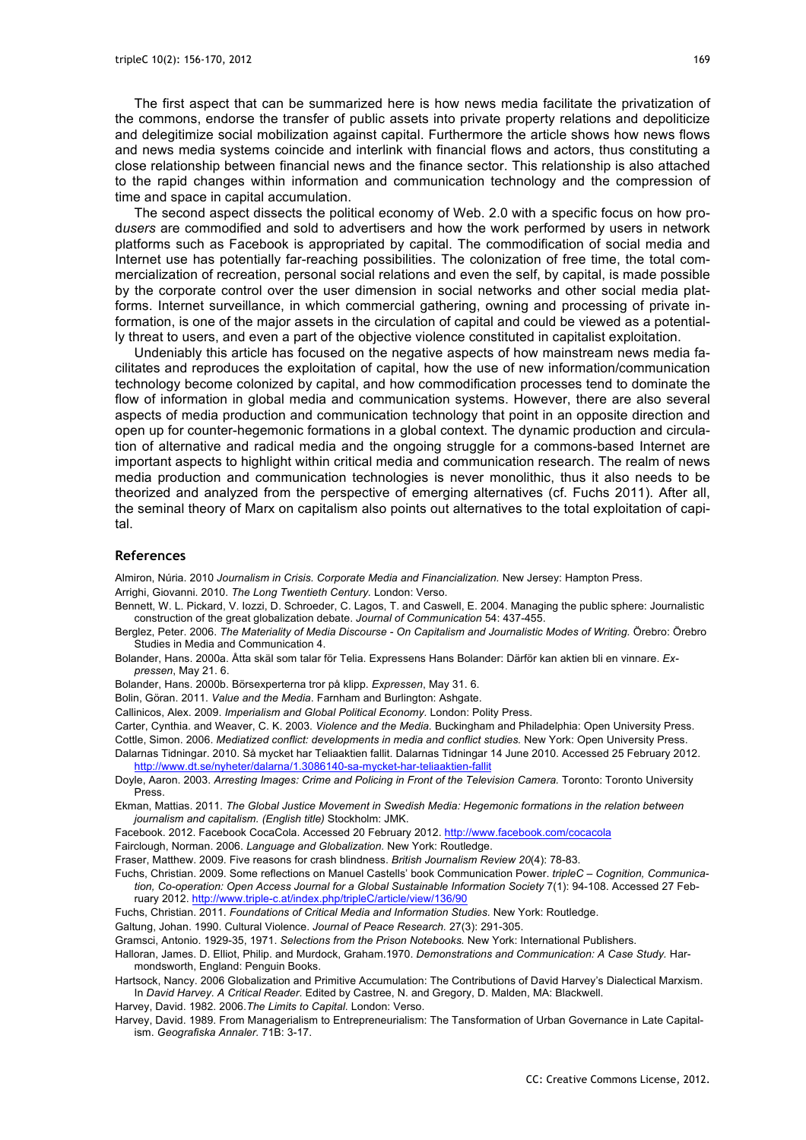The first aspect that can be summarized here is how news media facilitate the privatization of the commons, endorse the transfer of public assets into private property relations and depoliticize and delegitimize social mobilization against capital. Furthermore the article shows how news flows and news media systems coincide and interlink with financial flows and actors, thus constituting a close relationship between financial news and the finance sector. This relationship is also attached to the rapid changes within information and communication technology and the compression of time and space in capital accumulation.

The second aspect dissects the political economy of Web. 2.0 with a specific focus on how prod*users* are commodified and sold to advertisers and how the work performed by users in network platforms such as Facebook is appropriated by capital. The commodification of social media and Internet use has potentially far-reaching possibilities. The colonization of free time, the total commercialization of recreation, personal social relations and even the self, by capital, is made possible by the corporate control over the user dimension in social networks and other social media platforms. Internet surveillance, in which commercial gathering, owning and processing of private information, is one of the major assets in the circulation of capital and could be viewed as a potentially threat to users, and even a part of the objective violence constituted in capitalist exploitation.

Undeniably this article has focused on the negative aspects of how mainstream news media facilitates and reproduces the exploitation of capital, how the use of new information/communication technology become colonized by capital, and how commodification processes tend to dominate the flow of information in global media and communication systems. However, there are also several aspects of media production and communication technology that point in an opposite direction and open up for counter-hegemonic formations in a global context. The dynamic production and circulation of alternative and radical media and the ongoing struggle for a commons-based Internet are important aspects to highlight within critical media and communication research. The realm of news media production and communication technologies is never monolithic, thus it also needs to be theorized and analyzed from the perspective of emerging alternatives (cf. Fuchs 2011). After all, the seminal theory of Marx on capitalism also points out alternatives to the total exploitation of capital.

#### **References**

Almiron, Núria. 2010 *Journalism in Crisis. Corporate Media and Financialization.* New Jersey: Hampton Press. Arrighi, Giovanni. 2010. *The Long Twentieth Century.* London: Verso.

Bennett, W. L. Pickard, V. Iozzi, D. Schroeder, C. Lagos, T. and Caswell, E. 2004. Managing the public sphere: Journalistic construction of the great globalization debate. *Journal of Communication* 54: 437-455.

- Berglez, Peter. 2006. *The Materiality of Media Discourse - On Capitalism and Journalistic Modes of Writing.* Örebro: Örebro Studies in Media and Communication 4.
- Bolander, Hans. 2000a. Åtta skäl som talar för Telia. Expressens Hans Bolander: Därför kan aktien bli en vinnare. *Expressen*, May 21. 6.

Bolander, Hans. 2000b. Börsexperterna tror på klipp. *Expressen*, May 31. 6.

Bolin, Göran. 2011. *Value and the Media*. Farnham and Burlington: Ashgate.

Callinicos, Alex. 2009. *Imperialism and Global Political Economy.* London: Polity Press.

Carter, Cynthia. and Weaver, C. K. 2003. *Violence and the Media.* Buckingham and Philadelphia: Open University Press. Cottle, Simon. 2006. Mediatized conflict: developments in media and conflict studies. New York: Open University Press.

Dalarnas Tidningar. 2010. Så mycket har Teliaaktien fallit. Dalarnas Tidningar 14 June 2010. Accessed 25 February 2012. http://www.dt.se/nyheter/dalarna/1.3086140-sa-mycket-har-teliaaktien-fallit

Doyle, Aaron. 2003. *Arresting Images: Crime and Policing in Front of the Television Camera.* Toronto: Toronto University Press.

Ekman, Mattias. 2011. *The Global Justice Movement in Swedish Media: Hegemonic formations in the relation between journalism and capitalism. (English title)* Stockholm: JMK.

Facebook. 2012. Facebook CocaCola. Accessed 20 February 2012. http://www.facebook.com/cocacola

Fairclough, Norman. 2006. *Language and Globalization.* New York: Routledge.

Fraser, Matthew. 2009. Five reasons for crash blindness. *British Journalism Review 20*(4): 78-83.

Fuchs, Christian. 2009. Some reflections on Manuel Castells' book Communication Power. *tripleC – Cognition, Communication, Co-operation: Open Access Journal for a Global Sustainable Information Society* 7(1): 94-108. Accessed 27 February 2012. http://www.triple-c.at/index.php/tripleC/article/view/136/90

Fuchs, Christian. 2011. *Foundations of Critical Media and Information Studies.* New York: Routledge.

Galtung, Johan. 1990. Cultural Violence. *Journal of Peace Research.* 27(3): 291-305.

Gramsci, Antonio. 1929-35, 1971. *Selections from the Prison Notebooks.* New York: International Publishers.

Halloran, James. D. Elliot, Philip. and Murdock, Graham.1970. *Demonstrations and Communication: A Case Study.* Harmondsworth, England: Penguin Books.

Hartsock, Nancy. 2006 Globalization and Primitive Accumulation: The Contributions of David Harvey's Dialectical Marxism. In *David Harvey. A Critical Reader*. Edited by Castree, N. and Gregory, D. Malden, MA: Blackwell.

Harvey, David. 1982. 2006.*The Limits to Capital.* London: Verso.

Harvey, David. 1989. From Managerialism to Entrepreneurialism: The Tansformation of Urban Governance in Late Capitalism. *Geografiska Annaler.* 71B: 3-17.